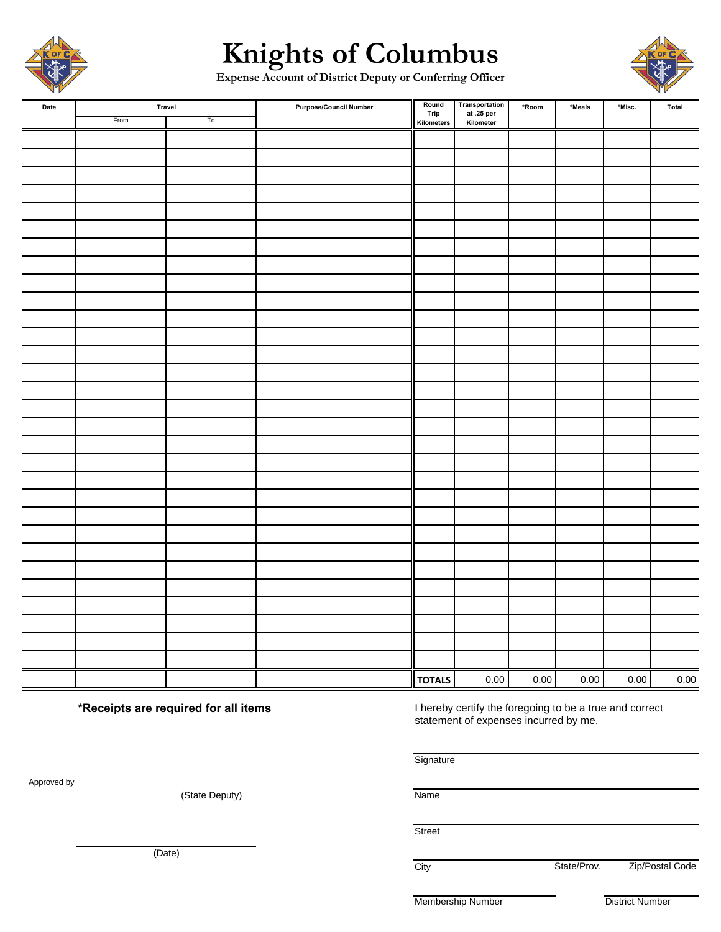

# **Knights of Columbus**

**Expense Account of District Deputy or Conferring Officer**



| Date |      | Travel        | <b>Purpose/Council Number</b> | Round<br>Trip | Transportation<br>at .25 per<br>Kilometer | *Room    | $*$ Meals | *Misc. | Total    |
|------|------|---------------|-------------------------------|---------------|-------------------------------------------|----------|-----------|--------|----------|
|      | From | $\mathsf{T0}$ |                               | Kilometers    |                                           |          |           |        |          |
|      |      |               |                               |               |                                           |          |           |        |          |
|      |      |               |                               |               |                                           |          |           |        |          |
|      |      |               |                               |               |                                           |          |           |        |          |
|      |      |               |                               |               |                                           |          |           |        |          |
|      |      |               |                               |               |                                           |          |           |        |          |
|      |      |               |                               |               |                                           |          |           |        |          |
|      |      |               |                               |               |                                           |          |           |        |          |
|      |      |               |                               |               |                                           |          |           |        |          |
|      |      |               |                               |               |                                           |          |           |        |          |
|      |      |               |                               |               |                                           |          |           |        |          |
|      |      |               |                               |               |                                           |          |           |        |          |
|      |      |               |                               |               |                                           |          |           |        |          |
|      |      |               |                               |               |                                           |          |           |        |          |
|      |      |               |                               |               |                                           |          |           |        |          |
|      |      |               |                               |               |                                           |          |           |        |          |
|      |      |               |                               |               |                                           |          |           |        |          |
|      |      |               |                               |               |                                           |          |           |        |          |
|      |      |               |                               |               |                                           |          |           |        |          |
|      |      |               |                               |               |                                           |          |           |        |          |
|      |      |               |                               |               |                                           |          |           |        |          |
|      |      |               |                               |               |                                           |          |           |        |          |
|      |      |               |                               |               |                                           |          |           |        |          |
|      |      |               |                               |               |                                           |          |           |        |          |
|      |      |               |                               |               |                                           |          |           |        |          |
|      |      |               |                               |               |                                           |          |           |        |          |
|      |      |               |                               |               |                                           |          |           |        |          |
|      |      |               |                               |               |                                           |          |           |        |          |
|      |      |               |                               |               |                                           |          |           |        |          |
|      |      |               |                               |               |                                           |          |           |        |          |
|      |      |               |                               |               |                                           |          |           |        |          |
|      |      |               |                               | <b>TOTALS</b> | $0.00\,$                                  | $0.00\,$ | $0.00\,$  | 0.00   | $0.00\,$ |

**\*Receipts are required for all items** I hereby certify the foregoing to be a true and correct statement of expenses incurred by me.

**Signature** 

(State Deputy) Name

**Street** 

City **State/Prov.** Zip/Postal Code

Membership Number District Number

(Date)

Approved by